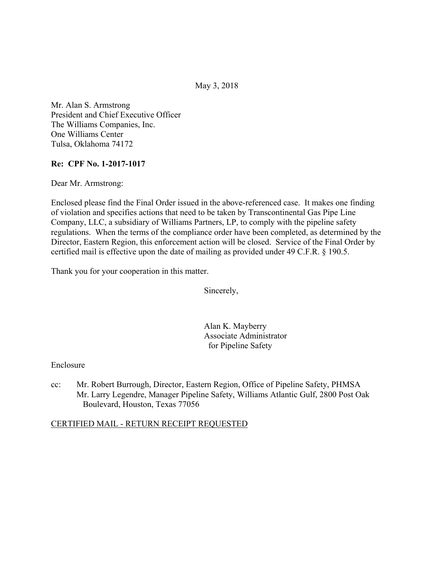May 3, 2018

Mr. Alan S. Armstrong President and Chief Executive Officer The Williams Companies, Inc. One Williams Center Tulsa, Oklahoma 74172

## **Re: CPF No. 1-2017-1017**

Dear Mr. Armstrong:

Enclosed please find the Final Order issued in the above-referenced case. It makes one finding of violation and specifies actions that need to be taken by Transcontinental Gas Pipe Line Company, LLC, a subsidiary of Williams Partners, LP, to comply with the pipeline safety regulations. When the terms of the compliance order have been completed, as determined by the Director, Eastern Region, this enforcement action will be closed. Service of the Final Order by certified mail is effective upon the date of mailing as provided under 49 C.F.R. § 190.5.

Thank you for your cooperation in this matter.

Sincerely,

Alan K. Mayberry Associate Administrator for Pipeline Safety

Enclosure

cc: Mr. Robert Burrough, Director, Eastern Region, Office of Pipeline Safety, PHMSA Mr. Larry Legendre, Manager Pipeline Safety, Williams Atlantic Gulf, 2800 Post Oak Boulevard, Houston, Texas 77056

#### CERTIFIED MAIL - RETURN RECEIPT REQUESTED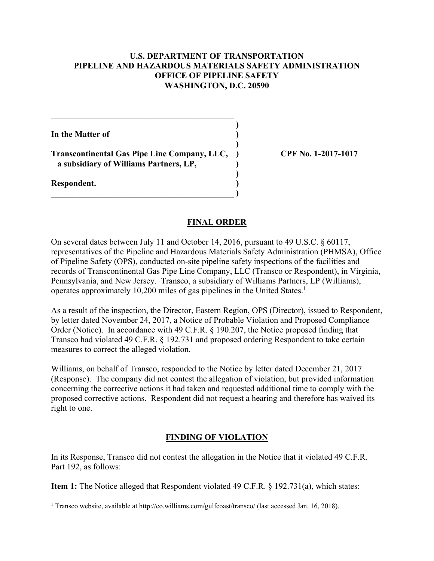## **U.S. DEPARTMENT OF TRANSPORTATION PIPELINE AND HAZARDOUS MATERIALS SAFETY ADMINISTRATION OFFICE OF PIPELINE SAFETY WASHINGTON, D.C. 20590**

**)**

 **)**

 **)**

**In the Matter of )**

**Transcontinental Gas Pipe Line Company, LLC, ) CPF No. 1-2017-1017 a subsidiary of Williams Partners, LP, )**

**\_\_\_\_\_\_\_\_\_\_\_\_\_\_\_\_\_\_\_\_\_\_\_\_\_\_\_\_\_\_\_\_\_\_\_\_\_\_\_\_\_\_\_ )** 

 $\mathcal{L} = \{ \mathcal{L} \}$ 

**Respondent. )** 

 $\overline{a}$ 

#### **FINAL ORDER**

operates approximately 10,200 miles of gas pipelines in the United States.<sup>1</sup> On several dates between July 11 and October 14, 2016, pursuant to 49 U.S.C. § 60117, representatives of the Pipeline and Hazardous Materials Safety Administration (PHMSA), Office of Pipeline Safety (OPS), conducted on-site pipeline safety inspections of the facilities and records of Transcontinental Gas Pipe Line Company, LLC (Transco or Respondent), in Virginia, Pennsylvania, and New Jersey. Transco, a subsidiary of Williams Partners, LP (Williams),

As a result of the inspection, the Director, Eastern Region, OPS (Director), issued to Respondent, by letter dated November 24, 2017, a Notice of Probable Violation and Proposed Compliance Order (Notice). In accordance with 49 C.F.R. § 190.207, the Notice proposed finding that Transco had violated 49 C.F.R. § 192.731 and proposed ordering Respondent to take certain measures to correct the alleged violation.

Williams, on behalf of Transco, responded to the Notice by letter dated December 21, 2017 (Response). The company did not contest the allegation of violation, but provided information concerning the corrective actions it had taken and requested additional time to comply with the proposed corrective actions. Respondent did not request a hearing and therefore has waived its right to one.

# **FINDING OF VIOLATION**

In its Response, Transco did not contest the allegation in the Notice that it violated 49 C.F.R. Part 192, as follows:

**Item 1:** The Notice alleged that Respondent violated 49 C.F.R. § 192.731(a), which states:

<sup>&</sup>lt;sup>1</sup> Transco website, available at http://co.williams.com/gulfcoast/transco/ (last accessed Jan. 16, 2018).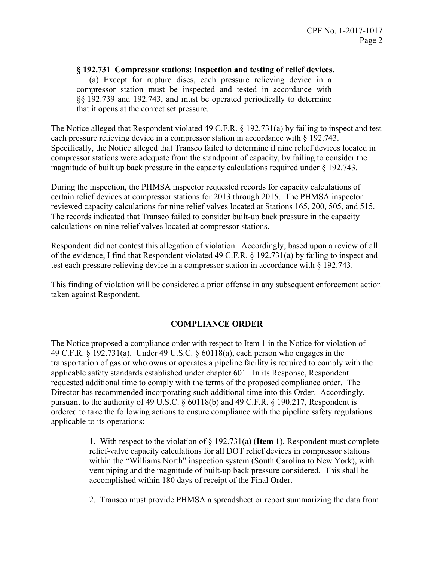## **§ 192.731 Compressor stations: Inspection and testing of relief devices.**

(a) Except for rupture discs, each pressure relieving device in a compressor station must be inspected and tested in accordance with §§ 192.739 and 192.743, and must be operated periodically to determine that it opens at the correct set pressure.

The Notice alleged that Respondent violated 49 C.F.R. § 192.731(a) by failing to inspect and test each pressure relieving device in a compressor station in accordance with § 192.743. Specifically, the Notice alleged that Transco failed to determine if nine relief devices located in compressor stations were adequate from the standpoint of capacity, by failing to consider the magnitude of built up back pressure in the capacity calculations required under § 192.743.

During the inspection, the PHMSA inspector requested records for capacity calculations of certain relief devices at compressor stations for 2013 through 2015. The PHMSA inspector reviewed capacity calculations for nine relief valves located at Stations 165, 200, 505, and 515. The records indicated that Transco failed to consider built-up back pressure in the capacity calculations on nine relief valves located at compressor stations.

Respondent did not contest this allegation of violation. Accordingly, based upon a review of all of the evidence, I find that Respondent violated 49 C.F.R. § 192.731(a) by failing to inspect and test each pressure relieving device in a compressor station in accordance with § 192.743.

This finding of violation will be considered a prior offense in any subsequent enforcement action taken against Respondent.

#### **COMPLIANCE ORDER**

The Notice proposed a compliance order with respect to Item 1 in the Notice for violation of 49 C.F.R. § 192.731(a). Under 49 U.S.C. § 60118(a), each person who engages in the transportation of gas or who owns or operates a pipeline facility is required to comply with the applicable safety standards established under chapter 601. In its Response, Respondent requested additional time to comply with the terms of the proposed compliance order. The Director has recommended incorporating such additional time into this Order. Accordingly, pursuant to the authority of 49 U.S.C. § 60118(b) and 49 C.F.R. § 190.217, Respondent is ordered to take the following actions to ensure compliance with the pipeline safety regulations applicable to its operations:

> 1. With respect to the violation of § 192.731(a) (**Item 1**), Respondent must complete relief-valve capacity calculations for all DOT relief devices in compressor stations within the "Williams North" inspection system (South Carolina to New York), with vent piping and the magnitude of built-up back pressure considered. This shall be accomplished within 180 days of receipt of the Final Order.

> 2. Transco must provide PHMSA a spreadsheet or report summarizing the data from